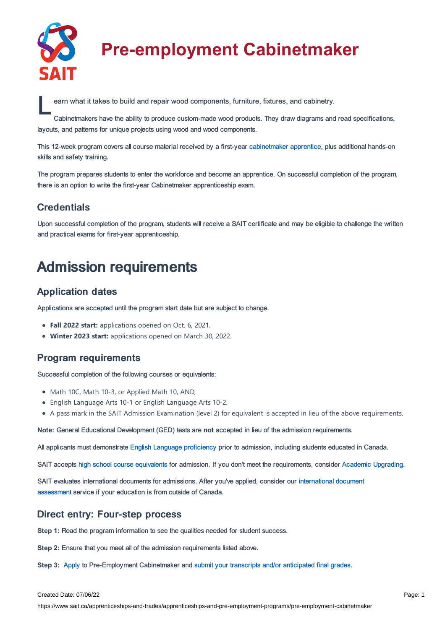

# **Pre-employment Cabinetmaker**

earn what it takes to build and repair wood components, furniture, fixtures, and cabinetry.<br>Cabinetmakers have the ability to produce custom-made wood products. They draw diagrams and

Cabinetmakers have the ability to produce custom-made wood products. They draw diagrams and read specifications, layouts, and patterns for unique projects using wood and wood components.

This 12-week program covers all course material received by a first-year [cabinetmaker](https://www.sait.ca/apprenticeships-and-trades/apprenticeships-and-pre-employment-programs/cabinetmaker) apprentice, plus additional hands-on skills and safety training.

The program prepares students to enter the workforce and become an apprentice. On successful completion of the program, there is an option to write the first-year Cabinetmaker apprenticeship exam.

### **Credentials**

Upon successful completion of the program, students will receive a SAIT certificate and may be eligible to challenge the written and practical exams for first-year apprenticeship.

### Admission requirements

### Application dates

Applications are accepted until the program start date but are subject to change.

- **Fall 2022 start:** applications opened on Oct. 6, 2021.
- **Winter 2023 start:** applications opened on March 30, 2022.

### Program requirements

Successful completion of the following courses or equivalents:

- Math 10C, Math 10-3, or Applied Math 10, AND,
- English Language Arts 10-1 or English Language Arts 10-2.
- A pass mark in the SAIT Admission Examination (level 2) for equivalent is accepted in lieu of the above requirements.

**Note:** General Educational Development (GED) tests are **not** accepted in lieu of the admission requirements.

All applicants must demonstrate English Language [proficiency](https://www.sait.ca/admissions/before-you-apply/english-proficiency) prior to admission, including students educated in Canada.

SAIT accepts high school course [equivalents](https://www.sait.ca/admissions/before-you-apply/high-school-course-equivalencies) for admission. If you don't meet the requirements, consider Academic [Upgrading.](https://www.sait.ca/programs-and-courses/academic-upgrading)

SAIT evaluates [international](https://www.sait.ca/admissions/after-you-apply/international-document-assessment) documents for admissions. After you've applied, consider our international document assessment service if your education is from outside of Canada.

### Direct entry: Four-step process

**Step 1:** Read the program information to see the qualities needed for student success.

**Step 2:** Ensure that you meet all of the admission requirements listed above.

**Step 3:** [Apply](https://www.sait.ca/admissions/apply) to Pre-Employment Cabinetmaker and submit your transcripts and/or [anticipated](https://www.sait.ca/admissions/after-you-apply/transcripts-and-supporting-documents) final grades.

#### Created Date: 07/06/22